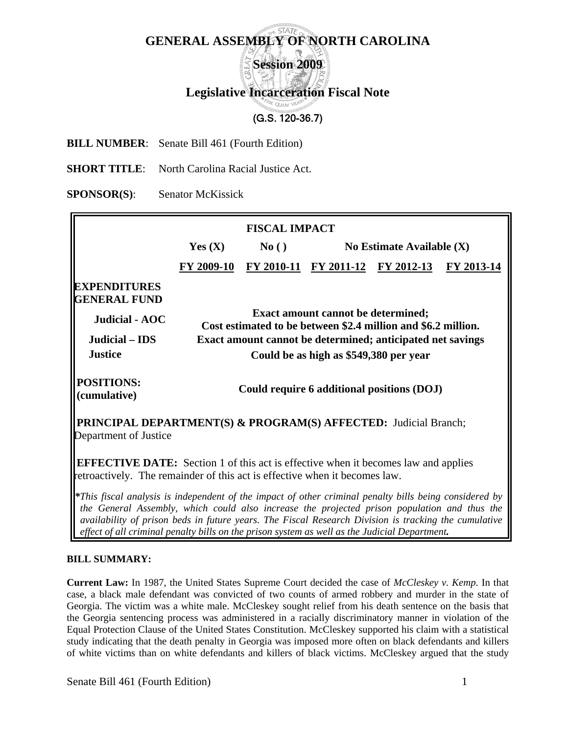#### **STATE GENERAL ASSEMBLY OF NORTH CAROLINA**

**Session 2009** 

# **Legislative Incarceration Fiscal Note**

# (G.S. 120-36.7)

**BILL NUMBER**: Senate Bill 461 (Fourth Edition)

**SHORT TITLE:** North Carolina Racial Justice Act.

**SPONSOR(S)**: Senator McKissick

| <b>FISCAL IMPACT</b>                                                                                                                                                                                                                                                                                           |                                                                                                                                                                                                                    |               |                                  |  |            |  |
|----------------------------------------------------------------------------------------------------------------------------------------------------------------------------------------------------------------------------------------------------------------------------------------------------------------|--------------------------------------------------------------------------------------------------------------------------------------------------------------------------------------------------------------------|---------------|----------------------------------|--|------------|--|
|                                                                                                                                                                                                                                                                                                                | Yes $(X)$                                                                                                                                                                                                          | $\bf{No}$ ( ) | No Estimate Available $(X)$      |  |            |  |
|                                                                                                                                                                                                                                                                                                                | FY 2009-10                                                                                                                                                                                                         |               | FY 2010-11 FY 2011-12 FY 2012-13 |  | FY 2013-14 |  |
| <b>EXPENDITURES</b><br><b>GENERAL FUND</b>                                                                                                                                                                                                                                                                     |                                                                                                                                                                                                                    |               |                                  |  |            |  |
| Judicial - AOC                                                                                                                                                                                                                                                                                                 | <b>Exact amount cannot be determined;</b><br>Cost estimated to be between \$2.4 million and \$6.2 million.<br>Exact amount cannot be determined; anticipated net savings<br>Could be as high as \$549,380 per year |               |                                  |  |            |  |
| Judicial – IDS                                                                                                                                                                                                                                                                                                 |                                                                                                                                                                                                                    |               |                                  |  |            |  |
| <b>Justice</b>                                                                                                                                                                                                                                                                                                 |                                                                                                                                                                                                                    |               |                                  |  |            |  |
| <b>POSITIONS:</b><br>Could require 6 additional positions (DOJ)<br>(cumulative)                                                                                                                                                                                                                                |                                                                                                                                                                                                                    |               |                                  |  |            |  |
| <b>PRINCIPAL DEPARTMENT(S) &amp; PROGRAM(S) AFFECTED:</b> Judicial Branch;<br>Department of Justice                                                                                                                                                                                                            |                                                                                                                                                                                                                    |               |                                  |  |            |  |
| <b>EFFECTIVE DATE:</b> Section 1 of this act is effective when it becomes law and applies<br>retroactively. The remainder of this act is effective when it becomes law.                                                                                                                                        |                                                                                                                                                                                                                    |               |                                  |  |            |  |
| *This fiscal analysis is independent of the impact of other criminal penalty bills being considered by<br>the General Assembly, which could also increase the projected prison population and thus the<br>availability of prison beds in future years. The Fiscal Research Division is tracking the cumulative |                                                                                                                                                                                                                    |               |                                  |  |            |  |

*effect of all criminal penalty bills on the prison system as well as the Judicial Department.*

#### **BILL SUMMARY:**

**Current Law:** In 1987, the United States Supreme Court decided the case of *McCleskey v. Kemp*. In that case, a black male defendant was convicted of two counts of armed robbery and murder in the state of Georgia. The victim was a white male. McCleskey sought relief from his death sentence on the basis that the Georgia sentencing process was administered in a racially discriminatory manner in violation of the Equal Protection Clause of the United States Constitution. McCleskey supported his claim with a statistical study indicating that the death penalty in Georgia was imposed more often on black defendants and killers of white victims than on white defendants and killers of black victims. McCleskey argued that the study

Senate Bill 461 (Fourth Edition) 1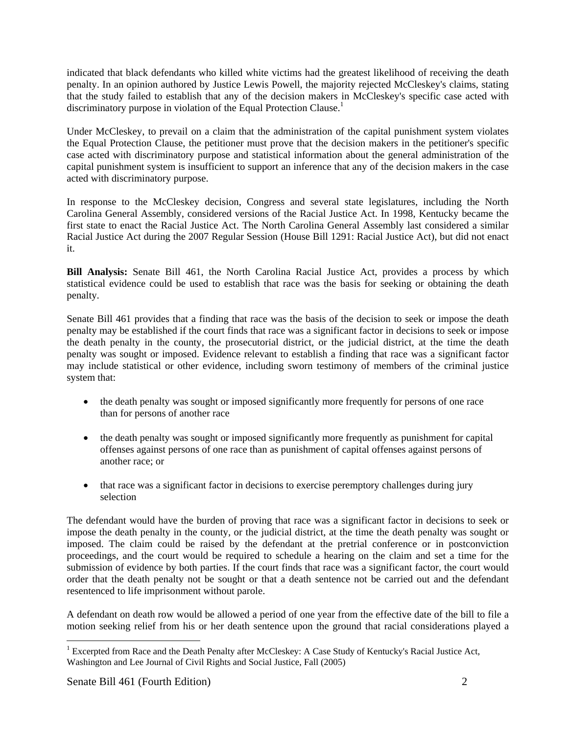indicated that black defendants who killed white victims had the greatest likelihood of receiving the death penalty. In an opinion authored by Justice Lewis Powell, the majority rejected McCleskey's claims, stating that the study failed to establish that any of the decision makers in McCleskey's specific case acted with discriminatory purpose in violation of the Equal Protection Clause.<sup>1</sup>

Under McCleskey, to prevail on a claim that the administration of the capital punishment system violates the Equal Protection Clause, the petitioner must prove that the decision makers in the petitioner's specific case acted with discriminatory purpose and statistical information about the general administration of the capital punishment system is insufficient to support an inference that any of the decision makers in the case acted with discriminatory purpose.

In response to the McCleskey decision, Congress and several state legislatures, including the North Carolina General Assembly, considered versions of the Racial Justice Act. In 1998, Kentucky became the first state to enact the Racial Justice Act. The North Carolina General Assembly last considered a similar Racial Justice Act during the 2007 Regular Session (House Bill 1291: Racial Justice Act), but did not enact it.

**Bill Analysis:** Senate Bill 461, the North Carolina Racial Justice Act, provides a process by which statistical evidence could be used to establish that race was the basis for seeking or obtaining the death penalty.

Senate Bill 461 provides that a finding that race was the basis of the decision to seek or impose the death penalty may be established if the court finds that race was a significant factor in decisions to seek or impose the death penalty in the county, the prosecutorial district, or the judicial district, at the time the death penalty was sought or imposed. Evidence relevant to establish a finding that race was a significant factor may include statistical or other evidence, including sworn testimony of members of the criminal justice system that:

- the death penalty was sought or imposed significantly more frequently for persons of one race than for persons of another race
- the death penalty was sought or imposed significantly more frequently as punishment for capital offenses against persons of one race than as punishment of capital offenses against persons of another race; or
- that race was a significant factor in decisions to exercise peremptory challenges during jury selection

The defendant would have the burden of proving that race was a significant factor in decisions to seek or impose the death penalty in the county, or the judicial district, at the time the death penalty was sought or imposed. The claim could be raised by the defendant at the pretrial conference or in postconviction proceedings, and the court would be required to schedule a hearing on the claim and set a time for the submission of evidence by both parties. If the court finds that race was a significant factor, the court would order that the death penalty not be sought or that a death sentence not be carried out and the defendant resentenced to life imprisonment without parole.

A defendant on death row would be allowed a period of one year from the effective date of the bill to file a motion seeking relief from his or her death sentence upon the ground that racial considerations played a

<sup>&</sup>lt;sup>1</sup> Excerpted from Race and the Death Penalty after McCleskey: A Case Study of Kentucky's Racial Justice Act, Washington and Lee Journal of Civil Rights and Social Justice, Fall (2005)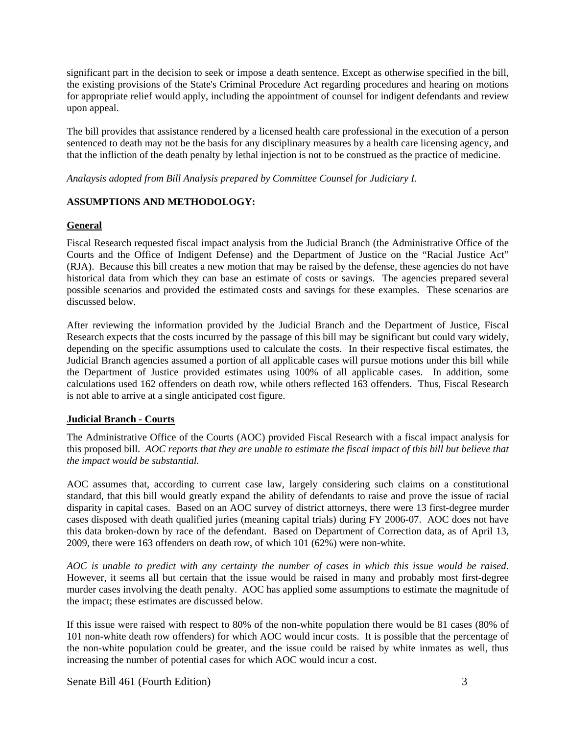significant part in the decision to seek or impose a death sentence. Except as otherwise specified in the bill, the existing provisions of the State's Criminal Procedure Act regarding procedures and hearing on motions for appropriate relief would apply, including the appointment of counsel for indigent defendants and review upon appeal.

The bill provides that assistance rendered by a licensed health care professional in the execution of a person sentenced to death may not be the basis for any disciplinary measures by a health care licensing agency, and that the infliction of the death penalty by lethal injection is not to be construed as the practice of medicine.

*Analaysis adopted from Bill Analysis prepared by Committee Counsel for Judiciary I.* 

#### **ASSUMPTIONS AND METHODOLOGY:**

#### **General**

Fiscal Research requested fiscal impact analysis from the Judicial Branch (the Administrative Office of the Courts and the Office of Indigent Defense) and the Department of Justice on the "Racial Justice Act" (RJA). Because this bill creates a new motion that may be raised by the defense, these agencies do not have historical data from which they can base an estimate of costs or savings. The agencies prepared several possible scenarios and provided the estimated costs and savings for these examples. These scenarios are discussed below.

After reviewing the information provided by the Judicial Branch and the Department of Justice, Fiscal Research expects that the costs incurred by the passage of this bill may be significant but could vary widely, depending on the specific assumptions used to calculate the costs. In their respective fiscal estimates, the Judicial Branch agencies assumed a portion of all applicable cases will pursue motions under this bill while the Department of Justice provided estimates using 100% of all applicable cases. In addition, some calculations used 162 offenders on death row, while others reflected 163 offenders. Thus, Fiscal Research is not able to arrive at a single anticipated cost figure.

#### **Judicial Branch - Courts**

The Administrative Office of the Courts (AOC) provided Fiscal Research with a fiscal impact analysis for this proposed bill. *AOC reports that they are unable to estimate the fiscal impact of this bill but believe that the impact would be substantial.* 

AOC assumes that, according to current case law, largely considering such claims on a constitutional standard, that this bill would greatly expand the ability of defendants to raise and prove the issue of racial disparity in capital cases. Based on an AOC survey of district attorneys, there were 13 first-degree murder cases disposed with death qualified juries (meaning capital trials) during FY 2006-07. AOC does not have this data broken-down by race of the defendant. Based on Department of Correction data, as of April 13, 2009, there were 163 offenders on death row, of which 101 (62%) were non-white.

*AOC is unable to predict with any certainty the number of cases in which this issue would be raised*. However, it seems all but certain that the issue would be raised in many and probably most first-degree murder cases involving the death penalty. AOC has applied some assumptions to estimate the magnitude of the impact; these estimates are discussed below.

If this issue were raised with respect to 80% of the non-white population there would be 81 cases (80% of 101 non-white death row offenders) for which AOC would incur costs. It is possible that the percentage of the non-white population could be greater, and the issue could be raised by white inmates as well, thus increasing the number of potential cases for which AOC would incur a cost.

Senate Bill 461 (Fourth Edition) 3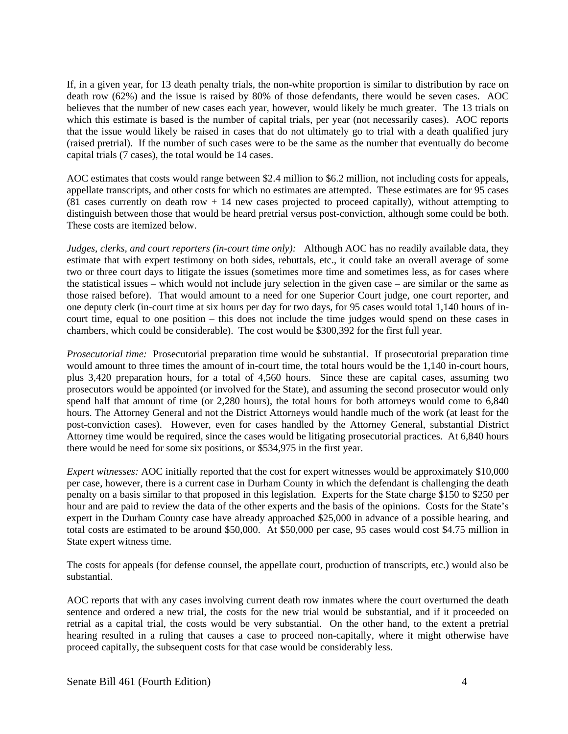If, in a given year, for 13 death penalty trials, the non-white proportion is similar to distribution by race on death row (62%) and the issue is raised by 80% of those defendants, there would be seven cases. AOC believes that the number of new cases each year, however, would likely be much greater. The 13 trials on which this estimate is based is the number of capital trials, per year (not necessarily cases). AOC reports that the issue would likely be raised in cases that do not ultimately go to trial with a death qualified jury (raised pretrial). If the number of such cases were to be the same as the number that eventually do become capital trials (7 cases), the total would be 14 cases.

AOC estimates that costs would range between \$2.4 million to \$6.2 million, not including costs for appeals, appellate transcripts, and other costs for which no estimates are attempted. These estimates are for 95 cases (81 cases currently on death row + 14 new cases projected to proceed capitally), without attempting to distinguish between those that would be heard pretrial versus post-conviction, although some could be both. These costs are itemized below.

*Judges, clerks, and court reporters (in-court time only):* Although AOC has no readily available data, they estimate that with expert testimony on both sides, rebuttals, etc., it could take an overall average of some two or three court days to litigate the issues (sometimes more time and sometimes less, as for cases where the statistical issues – which would not include jury selection in the given case – are similar or the same as those raised before). That would amount to a need for one Superior Court judge, one court reporter, and one deputy clerk (in-court time at six hours per day for two days, for 95 cases would total 1,140 hours of incourt time, equal to one position – this does not include the time judges would spend on these cases in chambers, which could be considerable). The cost would be \$300,392 for the first full year.

*Prosecutorial time:* Prosecutorial preparation time would be substantial. If prosecutorial preparation time would amount to three times the amount of in-court time, the total hours would be the 1,140 in-court hours, plus 3,420 preparation hours, for a total of 4,560 hours. Since these are capital cases, assuming two prosecutors would be appointed (or involved for the State), and assuming the second prosecutor would only spend half that amount of time (or 2,280 hours), the total hours for both attorneys would come to 6,840 hours. The Attorney General and not the District Attorneys would handle much of the work (at least for the post-conviction cases). However, even for cases handled by the Attorney General, substantial District Attorney time would be required, since the cases would be litigating prosecutorial practices. At 6,840 hours there would be need for some six positions, or \$534,975 in the first year.

*Expert witnesses:* AOC initially reported that the cost for expert witnesses would be approximately \$10,000 per case, however, there is a current case in Durham County in which the defendant is challenging the death penalty on a basis similar to that proposed in this legislation. Experts for the State charge \$150 to \$250 per hour and are paid to review the data of the other experts and the basis of the opinions. Costs for the State's expert in the Durham County case have already approached \$25,000 in advance of a possible hearing, and total costs are estimated to be around \$50,000. At \$50,000 per case, 95 cases would cost \$4.75 million in State expert witness time.

The costs for appeals (for defense counsel, the appellate court, production of transcripts, etc.) would also be substantial.

AOC reports that with any cases involving current death row inmates where the court overturned the death sentence and ordered a new trial, the costs for the new trial would be substantial, and if it proceeded on retrial as a capital trial, the costs would be very substantial. On the other hand, to the extent a pretrial hearing resulted in a ruling that causes a case to proceed non-capitally, where it might otherwise have proceed capitally, the subsequent costs for that case would be considerably less.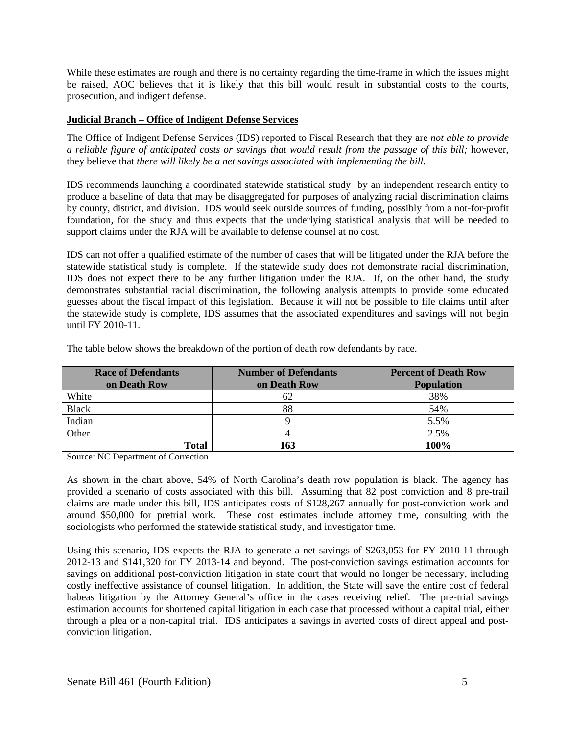While these estimates are rough and there is no certainty regarding the time-frame in which the issues might be raised, AOC believes that it is likely that this bill would result in substantial costs to the courts, prosecution, and indigent defense.

### **Judicial Branch – Office of Indigent Defense Services**

The Office of Indigent Defense Services (IDS) reported to Fiscal Research that they are *not able to provide a reliable figure of anticipated costs or savings that would result from the passage of this bill;* however, they believe that *there will likely be a net savings associated with implementing the bill*.

IDS recommends launching a coordinated statewide statistical study by an independent research entity to produce a baseline of data that may be disaggregated for purposes of analyzing racial discrimination claims by county, district, and division. IDS would seek outside sources of funding, possibly from a not-for-profit foundation, for the study and thus expects that the underlying statistical analysis that will be needed to support claims under the RJA will be available to defense counsel at no cost.

IDS can not offer a qualified estimate of the number of cases that will be litigated under the RJA before the statewide statistical study is complete. If the statewide study does not demonstrate racial discrimination, IDS does not expect there to be any further litigation under the RJA. If, on the other hand, the study demonstrates substantial racial discrimination, the following analysis attempts to provide some educated guesses about the fiscal impact of this legislation. Because it will not be possible to file claims until after the statewide study is complete, IDS assumes that the associated expenditures and savings will not begin until FY 2010-11.

| <b>Race of Defendants</b> | <b>Number of Defendants</b> | <b>Percent of Death Row</b> |  |
|---------------------------|-----------------------------|-----------------------------|--|
| on Death Row              | on Death Row                | <b>Population</b>           |  |
| White                     | 62                          | 38%                         |  |
| <b>Black</b>              | 88                          | 54%                         |  |
| Indian                    |                             | 5.5%                        |  |
| Other                     |                             | 2.5%                        |  |
| Total                     |                             | <b>100%</b>                 |  |

The table below shows the breakdown of the portion of death row defendants by race.

Source: NC Department of Correction

As shown in the chart above, 54% of North Carolina's death row population is black. The agency has provided a scenario of costs associated with this bill. Assuming that 82 post conviction and 8 pre-trail claims are made under this bill, IDS anticipates costs of \$128,267 annually for post-conviction work and around \$50,000 for pretrial work. These cost estimates include attorney time, consulting with the sociologists who performed the statewide statistical study, and investigator time.

Using this scenario, IDS expects the RJA to generate a net savings of \$263,053 for FY 2010-11 through 2012-13 and \$141,320 for FY 2013-14 and beyond. The post-conviction savings estimation accounts for savings on additional post-conviction litigation in state court that would no longer be necessary, including costly ineffective assistance of counsel litigation. In addition, the State will save the entire cost of federal habeas litigation by the Attorney General's office in the cases receiving relief. The pre-trial savings estimation accounts for shortened capital litigation in each case that processed without a capital trial, either through a plea or a non-capital trial. IDS anticipates a savings in averted costs of direct appeal and postconviction litigation.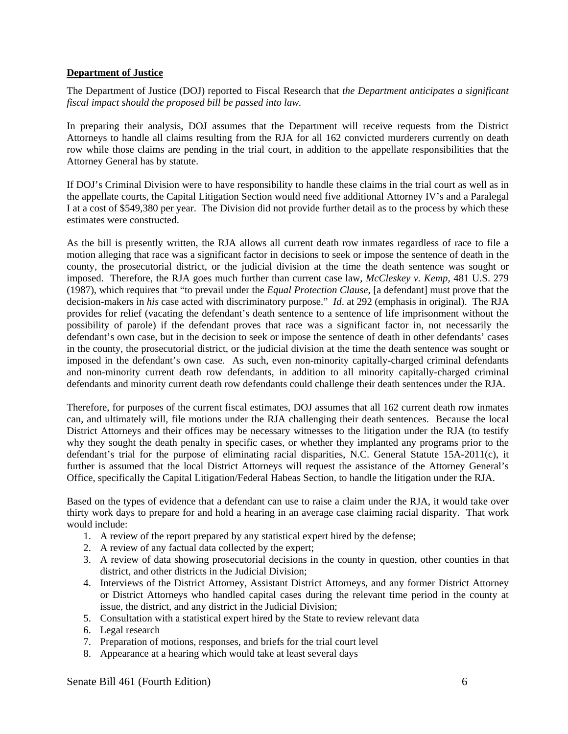#### **Department of Justice**

The Department of Justice (DOJ) reported to Fiscal Research that *the Department anticipates a significant fiscal impact should the proposed bill be passed into law.* 

In preparing their analysis, DOJ assumes that the Department will receive requests from the District Attorneys to handle all claims resulting from the RJA for all 162 convicted murderers currently on death row while those claims are pending in the trial court, in addition to the appellate responsibilities that the Attorney General has by statute.

If DOJ's Criminal Division were to have responsibility to handle these claims in the trial court as well as in the appellate courts, the Capital Litigation Section would need five additional Attorney IV's and a Paralegal I at a cost of \$549,380 per year. The Division did not provide further detail as to the process by which these estimates were constructed.

As the bill is presently written, the RJA allows all current death row inmates regardless of race to file a motion alleging that race was a significant factor in decisions to seek or impose the sentence of death in the county, the prosecutorial district, or the judicial division at the time the death sentence was sought or imposed. Therefore, the RJA goes much further than current case law, *McCleskey v. Kemp,* 481 U.S. 279 (1987), which requires that "to prevail under the *Equal Protection Clause*, [a defendant] must prove that the decision-makers in *his* case acted with discriminatory purpose." *Id*. at 292 (emphasis in original). The RJA provides for relief (vacating the defendant's death sentence to a sentence of life imprisonment without the possibility of parole) if the defendant proves that race was a significant factor in, not necessarily the defendant's own case, but in the decision to seek or impose the sentence of death in other defendants' cases in the county, the prosecutorial district, or the judicial division at the time the death sentence was sought or imposed in the defendant's own case. As such, even non-minority capitally-charged criminal defendants and non-minority current death row defendants, in addition to all minority capitally-charged criminal defendants and minority current death row defendants could challenge their death sentences under the RJA.

Therefore, for purposes of the current fiscal estimates, DOJ assumes that all 162 current death row inmates can, and ultimately will, file motions under the RJA challenging their death sentences. Because the local District Attorneys and their offices may be necessary witnesses to the litigation under the RJA (to testify why they sought the death penalty in specific cases, or whether they implanted any programs prior to the defendant's trial for the purpose of eliminating racial disparities, N.C. General Statute 15A-2011(c), it further is assumed that the local District Attorneys will request the assistance of the Attorney General's Office, specifically the Capital Litigation/Federal Habeas Section, to handle the litigation under the RJA.

Based on the types of evidence that a defendant can use to raise a claim under the RJA, it would take over thirty work days to prepare for and hold a hearing in an average case claiming racial disparity. That work would include:

- 1. A review of the report prepared by any statistical expert hired by the defense;
- 2. A review of any factual data collected by the expert;
- 3. A review of data showing prosecutorial decisions in the county in question, other counties in that district, and other districts in the Judicial Division;
- 4. Interviews of the District Attorney, Assistant District Attorneys, and any former District Attorney or District Attorneys who handled capital cases during the relevant time period in the county at issue, the district, and any district in the Judicial Division;
- 5. Consultation with a statistical expert hired by the State to review relevant data
- 6. Legal research
- 7. Preparation of motions, responses, and briefs for the trial court level
- 8. Appearance at a hearing which would take at least several days

Senate Bill 461 (Fourth Edition) 6